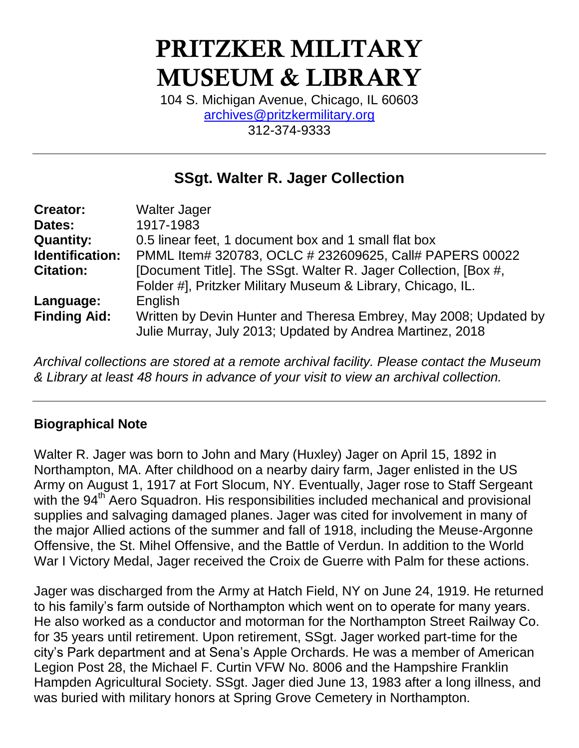# **PRITZKER MILITARY MUSEUM & LIBRARY**

104 S. Michigan Avenue, Chicago, IL 60603 [archives@pritzkermilitary.org](mailto:archives@pritzkermilitary.org) 312-374-9333

### **SSgt. Walter R. Jager Collection**

| <b>Creator:</b>     | <b>Walter Jager</b>                                                                                                            |
|---------------------|--------------------------------------------------------------------------------------------------------------------------------|
| Dates:              | 1917-1983                                                                                                                      |
| <b>Quantity:</b>    | 0.5 linear feet, 1 document box and 1 small flat box                                                                           |
| Identification:     | PMML Item# 320783, OCLC # 232609625, Call# PAPERS 00022                                                                        |
| <b>Citation:</b>    | [Document Title]. The SSgt. Walter R. Jager Collection, [Box #,<br>Folder #], Pritzker Military Museum & Library, Chicago, IL. |
| Language:           | English                                                                                                                        |
| <b>Finding Aid:</b> | Written by Devin Hunter and Theresa Embrey, May 2008; Updated by<br>Julie Murray, July 2013; Updated by Andrea Martinez, 2018  |

*Archival collections are stored at a remote archival facility. Please contact the Museum & Library at least 48 hours in advance of your visit to view an archival collection.*

#### **Biographical Note**

Walter R. Jager was born to John and Mary (Huxley) Jager on April 15, 1892 in Northampton, MA. After childhood on a nearby dairy farm, Jager enlisted in the US Army on August 1, 1917 at Fort Slocum, NY. Eventually, Jager rose to Staff Sergeant with the 94<sup>th</sup> Aero Squadron. His responsibilities included mechanical and provisional supplies and salvaging damaged planes. Jager was cited for involvement in many of the major Allied actions of the summer and fall of 1918, including the Meuse-Argonne Offensive, the St. Mihel Offensive, and the Battle of Verdun. In addition to the World War I Victory Medal, Jager received the Croix de Guerre with Palm for these actions.

Jager was discharged from the Army at Hatch Field, NY on June 24, 1919. He returned to his family's farm outside of Northampton which went on to operate for many years. He also worked as a conductor and motorman for the Northampton Street Railway Co. for 35 years until retirement. Upon retirement, SSgt. Jager worked part-time for the city's Park department and at Sena's Apple Orchards. He was a member of American Legion Post 28, the Michael F. Curtin VFW No. 8006 and the Hampshire Franklin Hampden Agricultural Society. SSgt. Jager died June 13, 1983 after a long illness, and was buried with military honors at Spring Grove Cemetery in Northampton.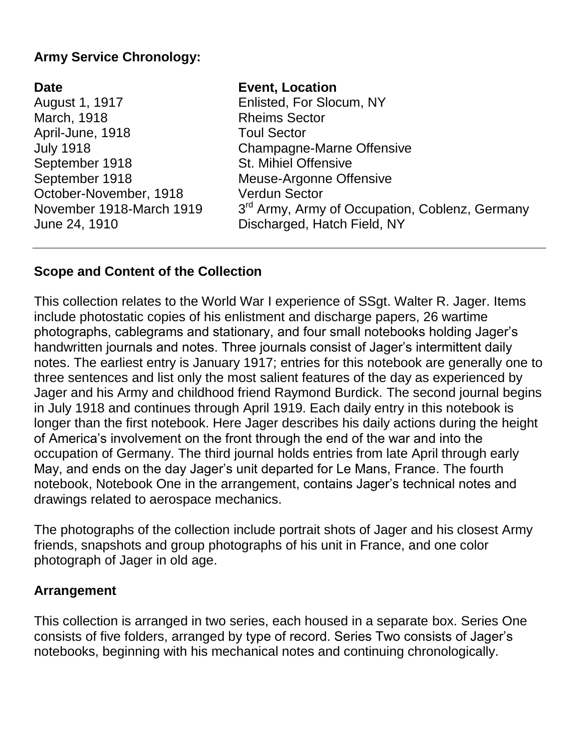#### **Army Service Chronology:**

## **Date Event, Location** March, 1918 **Rheims Sector** April-June, 1918 Toul Sector September 1918 St. Mihiel Offensive October-November, 1918 Verdun Sector November 1918-March 1919

August 1, 1917 Enlisted, For Slocum, NY July 1918 Champagne-Marne Offensive September 1918 Meuse-Argonne Offensive 3<sup>rd</sup> Army, Army of Occupation, Coblenz, Germany June 24, 1910 Discharged, Hatch Field, NY

#### **Scope and Content of the Collection**

This collection relates to the World War I experience of SSgt. Walter R. Jager. Items include photostatic copies of his enlistment and discharge papers, 26 wartime photographs, cablegrams and stationary, and four small notebooks holding Jager's handwritten journals and notes. Three journals consist of Jager's intermittent daily notes. The earliest entry is January 1917; entries for this notebook are generally one to three sentences and list only the most salient features of the day as experienced by Jager and his Army and childhood friend Raymond Burdick. The second journal begins in July 1918 and continues through April 1919. Each daily entry in this notebook is longer than the first notebook. Here Jager describes his daily actions during the height of America's involvement on the front through the end of the war and into the occupation of Germany. The third journal holds entries from late April through early May, and ends on the day Jager's unit departed for Le Mans, France. The fourth notebook, Notebook One in the arrangement, contains Jager's technical notes and drawings related to aerospace mechanics.

The photographs of the collection include portrait shots of Jager and his closest Army friends, snapshots and group photographs of his unit in France, and one color photograph of Jager in old age.

#### **Arrangement**

This collection is arranged in two series, each housed in a separate box. Series One consists of five folders, arranged by type of record. Series Two consists of Jager's notebooks, beginning with his mechanical notes and continuing chronologically.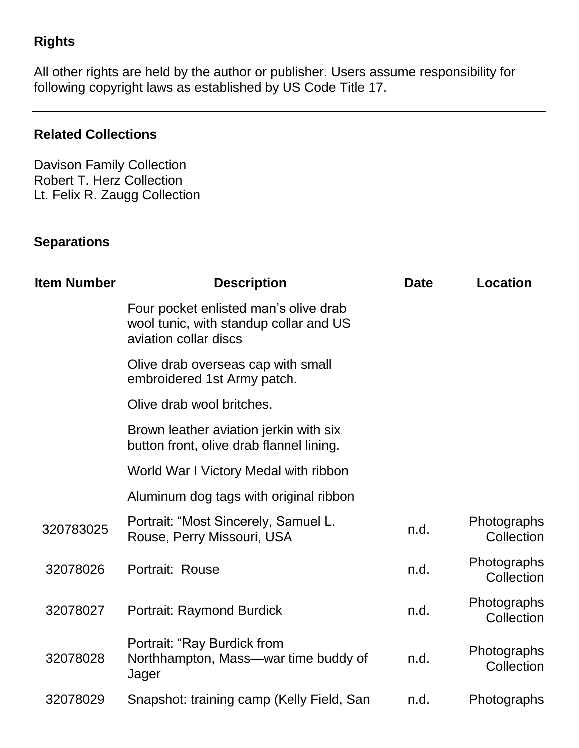#### **Rights**

All other rights are held by the author or publisher. Users assume responsibility for following copyright laws as established by US Code Title 17.

#### **Related Collections**

Davison Family Collection Robert T. Herz Collection Lt. Felix R. Zaugg Collection

#### **Separations**

| <b>Item Number</b> | <b>Description</b>                                                                                       | <b>Date</b> | <b>Location</b>           |
|--------------------|----------------------------------------------------------------------------------------------------------|-------------|---------------------------|
|                    | Four pocket enlisted man's olive drab<br>wool tunic, with standup collar and US<br>aviation collar discs |             |                           |
|                    | Olive drab overseas cap with small<br>embroidered 1st Army patch.                                        |             |                           |
|                    | Olive drab wool britches.                                                                                |             |                           |
|                    | Brown leather aviation jerkin with six<br>button front, olive drab flannel lining.                       |             |                           |
|                    | World War I Victory Medal with ribbon                                                                    |             |                           |
|                    | Aluminum dog tags with original ribbon                                                                   |             |                           |
| 320783025          | Portrait: "Most Sincerely, Samuel L.<br>Rouse, Perry Missouri, USA                                       | n.d.        | Photographs<br>Collection |
| 32078026           | Portrait: Rouse                                                                                          | n.d.        | Photographs<br>Collection |
| 32078027           | <b>Portrait: Raymond Burdick</b>                                                                         | n.d.        | Photographs<br>Collection |
| 32078028           | Portrait: "Ray Burdick from<br>Northhampton, Mass—war time buddy of<br>Jager                             | n.d.        | Photographs<br>Collection |
| 32078029           | Snapshot: training camp (Kelly Field, San                                                                | n.d.        | Photographs               |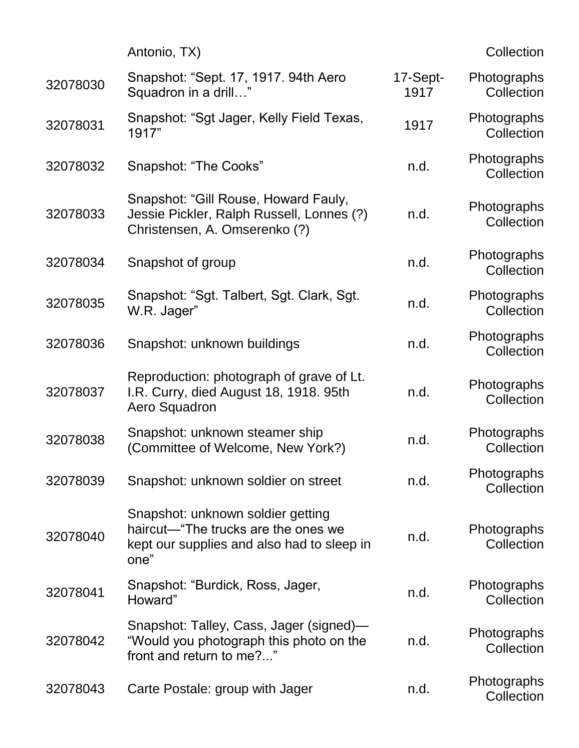|          | Antonio, TX)                                                                                                                   |                  | Collection                |
|----------|--------------------------------------------------------------------------------------------------------------------------------|------------------|---------------------------|
| 32078030 | Snapshot: "Sept. 17, 1917. 94th Aero<br>Squadron in a drill"                                                                   | 17-Sept-<br>1917 | Photographs<br>Collection |
| 32078031 | Snapshot: "Sgt Jager, Kelly Field Texas,<br>1917"                                                                              | 1917             | Photographs<br>Collection |
| 32078032 | Snapshot: "The Cooks"                                                                                                          | n.d.             | Photographs<br>Collection |
| 32078033 | Snapshot: "Gill Rouse, Howard Fauly,<br>Jessie Pickler, Ralph Russell, Lonnes (?)<br>Christensen, A. Omserenko (?)             | n.d.             | Photographs<br>Collection |
| 32078034 | Snapshot of group                                                                                                              | n.d.             | Photographs<br>Collection |
| 32078035 | Snapshot: "Sgt. Talbert, Sgt. Clark, Sgt.<br>W.R. Jager"                                                                       | n.d.             | Photographs<br>Collection |
| 32078036 | Snapshot: unknown buildings                                                                                                    | n.d.             | Photographs<br>Collection |
| 32078037 | Reproduction: photograph of grave of Lt.<br>I.R. Curry, died August 18, 1918. 95th<br>Aero Squadron                            | n.d.             | Photographs<br>Collection |
| 32078038 | Snapshot: unknown steamer ship<br>(Committee of Welcome, New York?)                                                            | n.d.             | Photographs<br>Collection |
| 32078039 | Snapshot: unknown soldier on street                                                                                            | n.d.             | Photographs<br>Collection |
| 32078040 | Snapshot: unknown soldier getting<br>haircut—"The trucks are the ones we<br>kept our supplies and also had to sleep in<br>one" | n.d.             | Photographs<br>Collection |
| 32078041 | Snapshot: "Burdick, Ross, Jager,<br>Howard"                                                                                    | n.d.             | Photographs<br>Collection |
| 32078042 | Snapshot: Talley, Cass, Jager (signed)—<br>"Would you photograph this photo on the<br>front and return to me?"                 | n.d.             | Photographs<br>Collection |
| 32078043 | Carte Postale: group with Jager                                                                                                | n.d.             | Photographs<br>Collection |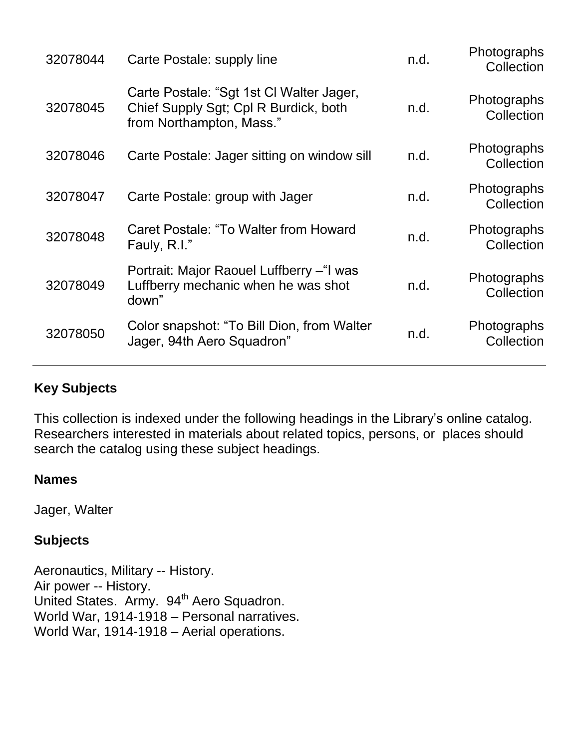| 32078044 | Carte Postale: supply line                                                                                    | n.d. | <b>Photographs</b><br>Collection |
|----------|---------------------------------------------------------------------------------------------------------------|------|----------------------------------|
| 32078045 | Carte Postale: "Sgt 1st CI Walter Jager,<br>Chief Supply Sgt; Cpl R Burdick, both<br>from Northampton, Mass." | n.d. | Photographs<br>Collection        |
| 32078046 | Carte Postale: Jager sitting on window sill                                                                   | n.d. | <b>Photographs</b><br>Collection |
| 32078047 | Carte Postale: group with Jager                                                                               | n.d. | Photographs<br>Collection        |
| 32078048 | Caret Postale: "To Walter from Howard<br>Fauly, R.I."                                                         | n.d. | Photographs<br>Collection        |
| 32078049 | Portrait: Major Raouel Luffberry - "I was<br>Luffberry mechanic when he was shot<br>down"                     | n.d. | <b>Photographs</b><br>Collection |
| 32078050 | Color snapshot: "To Bill Dion, from Walter<br>Jager, 94th Aero Squadron"                                      | n.d. | Photographs<br>Collection        |
|          |                                                                                                               |      |                                  |

#### **Key Subjects**

This collection is indexed under the following headings in the Library's online catalog. Researchers interested in materials about related topics, persons, or places should search the catalog using these subject headings.

#### **Names**

Jager, Walter

#### **Subjects**

Aeronautics, Military -- History. Air power -- History. United States. Army. 94<sup>th</sup> Aero Squadron. World War, 1914-1918 – Personal narratives. World War, 1914-1918 – Aerial operations.